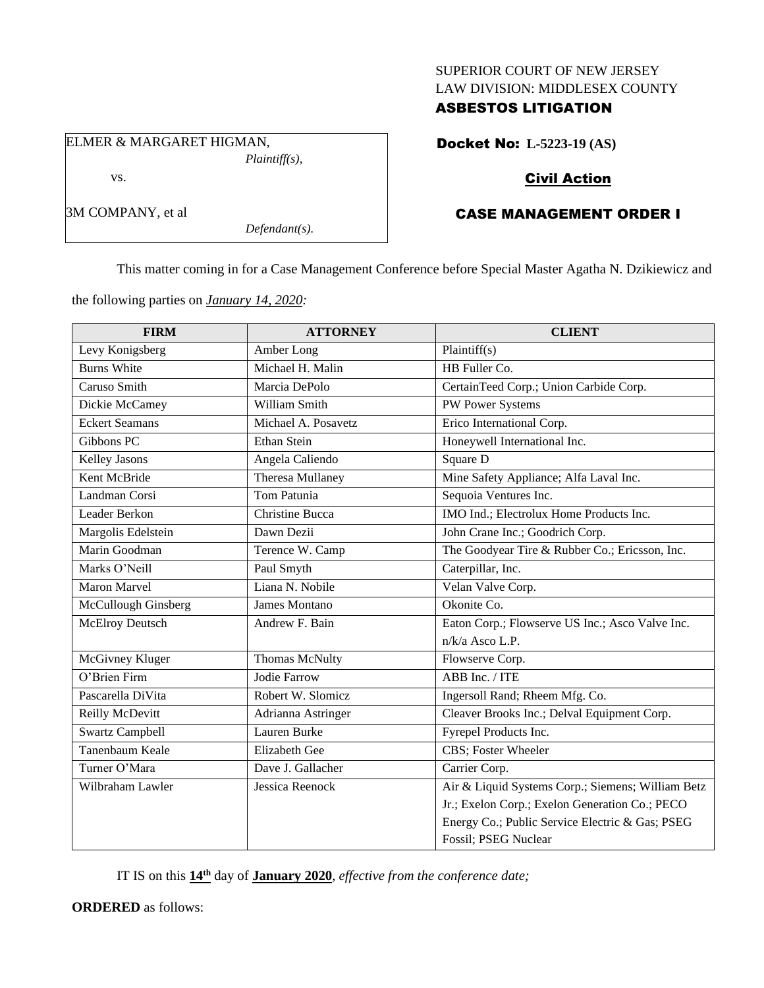### SUPERIOR COURT OF NEW JERSEY LAW DIVISION: MIDDLESEX COUNTY

### ASBESTOS LITIGATION

ELMER & MARGARET HIGMAN, *Plaintiff(s),* vs.

3M COMPANY, et al

Docket No: **L-5223-19 (AS)**

# Civil Action

# CASE MANAGEMENT ORDER I

This matter coming in for a Case Management Conference before Special Master Agatha N. Dzikiewicz and

the following parties on *January 14, 2020:*

*Defendant(s).*

| <b>FIRM</b>            | <b>ATTORNEY</b>        | <b>CLIENT</b>                                     |
|------------------------|------------------------|---------------------------------------------------|
| Levy Konigsberg        | Amber Long             | Plaintiff(s)                                      |
| <b>Burns White</b>     | Michael H. Malin       | HB Fuller Co.                                     |
| Caruso Smith           | Marcia DePolo          | CertainTeed Corp.; Union Carbide Corp.            |
| Dickie McCamey         | William Smith          | PW Power Systems                                  |
| <b>Eckert Seamans</b>  | Michael A. Posavetz    | Erico International Corp.                         |
| Gibbons PC             | <b>Ethan Stein</b>     | Honeywell International Inc.                      |
| Kelley Jasons          | Angela Caliendo        | Square D                                          |
| Kent McBride           | Theresa Mullaney       | Mine Safety Appliance; Alfa Laval Inc.            |
| Landman Corsi          | Tom Patunia            | Sequoia Ventures Inc.                             |
| Leader Berkon          | <b>Christine Bucca</b> | IMO Ind.; Electrolux Home Products Inc.           |
| Margolis Edelstein     | Dawn Dezii             | John Crane Inc.; Goodrich Corp.                   |
| Marin Goodman          | Terence W. Camp        | The Goodyear Tire & Rubber Co.; Ericsson, Inc.    |
| Marks O'Neill          | Paul Smyth             | Caterpillar, Inc.                                 |
| <b>Maron Marvel</b>    | Liana N. Nobile        | Velan Valve Corp.                                 |
| McCullough Ginsberg    | <b>James Montano</b>   | Okonite Co.                                       |
| <b>McElroy Deutsch</b> | Andrew F. Bain         | Eaton Corp.; Flowserve US Inc.; Asco Valve Inc.   |
|                        |                        | $n/k/a$ Asco L.P.                                 |
| McGivney Kluger        | <b>Thomas McNulty</b>  | Flowserve Corp.                                   |
| O'Brien Firm           | Jodie Farrow           | ABB Inc. / ITE                                    |
| Pascarella DiVita      | Robert W. Slomicz      | Ingersoll Rand; Rheem Mfg. Co.                    |
| Reilly McDevitt        | Adrianna Astringer     | Cleaver Brooks Inc.; Delval Equipment Corp.       |
| <b>Swartz Campbell</b> | Lauren Burke           | Fyrepel Products Inc.                             |
| Tanenbaum Keale        | <b>Elizabeth Gee</b>   | <b>CBS</b> ; Foster Wheeler                       |
| Turner O'Mara          | Dave J. Gallacher      | Carrier Corp.                                     |
| Wilbraham Lawler       | Jessica Reenock        | Air & Liquid Systems Corp.; Siemens; William Betz |
|                        |                        | Jr.; Exelon Corp.; Exelon Generation Co.; PECO    |
|                        |                        | Energy Co.; Public Service Electric & Gas; PSEG   |
|                        |                        | Fossil; PSEG Nuclear                              |

IT IS on this **14th** day of **January 2020**, *effective from the conference date;*

**ORDERED** as follows: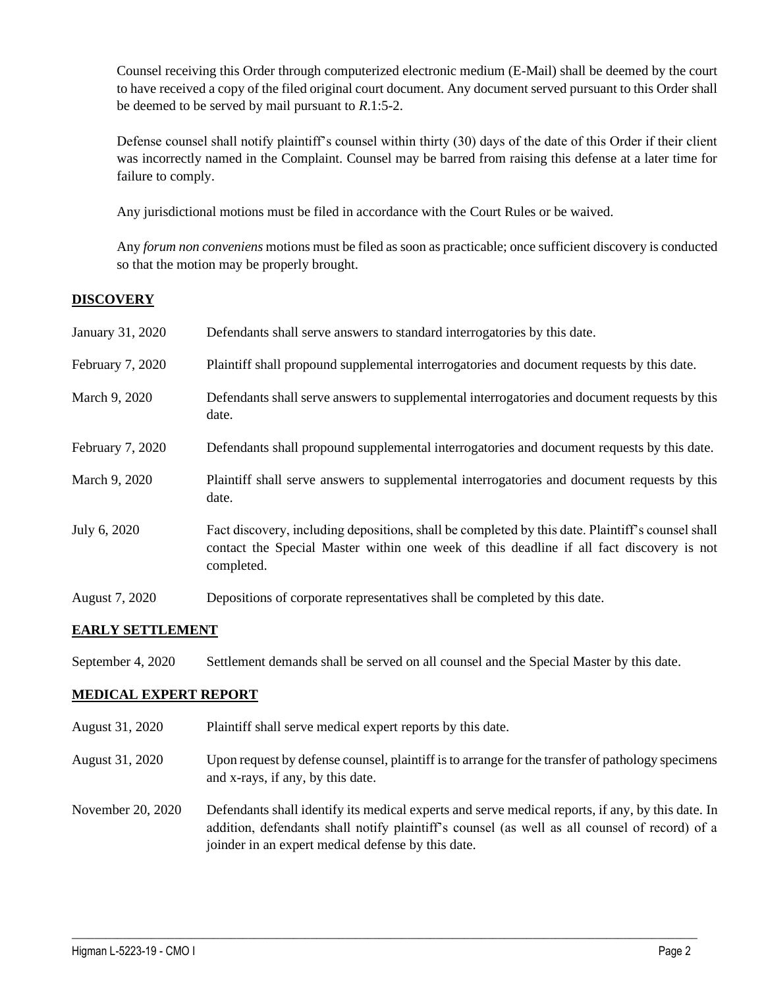Counsel receiving this Order through computerized electronic medium (E-Mail) shall be deemed by the court to have received a copy of the filed original court document. Any document served pursuant to this Order shall be deemed to be served by mail pursuant to *R*.1:5-2.

Defense counsel shall notify plaintiff's counsel within thirty (30) days of the date of this Order if their client was incorrectly named in the Complaint. Counsel may be barred from raising this defense at a later time for failure to comply.

Any jurisdictional motions must be filed in accordance with the Court Rules or be waived.

Any *forum non conveniens* motions must be filed as soon as practicable; once sufficient discovery is conducted so that the motion may be properly brought.

## **DISCOVERY**

| January 31, 2020 | Defendants shall serve answers to standard interrogatories by this date.                                                                                                                                    |
|------------------|-------------------------------------------------------------------------------------------------------------------------------------------------------------------------------------------------------------|
| February 7, 2020 | Plaintiff shall propound supplemental interrogatories and document requests by this date.                                                                                                                   |
| March 9, 2020    | Defendants shall serve answers to supplemental interrogatories and document requests by this<br>date.                                                                                                       |
| February 7, 2020 | Defendants shall propound supplemental interrogatories and document requests by this date.                                                                                                                  |
| March 9, 2020    | Plaintiff shall serve answers to supplemental interrogatories and document requests by this<br>date.                                                                                                        |
| July 6, 2020     | Fact discovery, including depositions, shall be completed by this date. Plaintiff's counsel shall<br>contact the Special Master within one week of this deadline if all fact discovery is not<br>completed. |
| August 7, 2020   | Depositions of corporate representatives shall be completed by this date.                                                                                                                                   |

### **EARLY SETTLEMENT**

September 4, 2020 Settlement demands shall be served on all counsel and the Special Master by this date.

### **MEDICAL EXPERT REPORT**

- August 31, 2020 Plaintiff shall serve medical expert reports by this date.
- August 31, 2020 Upon request by defense counsel, plaintiff is to arrange for the transfer of pathology specimens and x-rays, if any, by this date.
- November 20, 2020 Defendants shall identify its medical experts and serve medical reports, if any, by this date. In addition, defendants shall notify plaintiff's counsel (as well as all counsel of record) of a joinder in an expert medical defense by this date.

 $\_$  , and the set of the set of the set of the set of the set of the set of the set of the set of the set of the set of the set of the set of the set of the set of the set of the set of the set of the set of the set of th